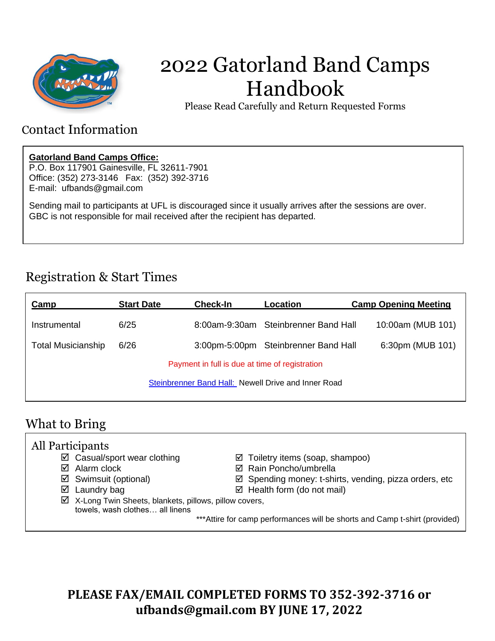

# 2022 Gatorland Band Camps Handbook

Please Read Carefully and Return Requested Forms

### Contact Information

### **Gatorland Band Camps Office:**

P.O. Box 117901 Gainesville, FL 32611-7901 Office: (352) 273-3146 Fax: (352) 392-3716 E-mail: ufbands@gmail.com

Sending mail to participants at UFL is discouraged since it usually arrives after the sessions are over. GBC is not responsible for mail received after the recipient has departed.

## Registration & Start Times

| <b>Camp</b>                                         | <b>Start Date</b> | Check-In | Location                             | <b>Camp Opening Meeting</b> |
|-----------------------------------------------------|-------------------|----------|--------------------------------------|-----------------------------|
| Instrumental                                        | 6/25              |          | 8:00am-9:30am Steinbrenner Band Hall | 10:00am (MUB 101)           |
| <b>Total Musicianship</b>                           | 6/26              |          | 3:00pm-5:00pm Steinbrenner Band Hall | 6:30pm (MUB 101)            |
| Payment in full is due at time of registration      |                   |          |                                      |                             |
| Steinbrenner Band Hall: Newell Drive and Inner Road |                   |          |                                      |                             |
|                                                     |                   |          |                                      |                             |

## What to Bring

| All Participants |                                                                   |  |                                                                             |  |
|------------------|-------------------------------------------------------------------|--|-----------------------------------------------------------------------------|--|
|                  | $\boxtimes$ Casual/sport wear clothing                            |  | $\boxtimes$ Toiletry items (soap, shampoo)                                  |  |
|                  | $\boxtimes$ Alarm clock                                           |  | ☑ Rain Poncho/umbrella                                                      |  |
|                  | $\boxtimes$ Swimsuit (optional)                                   |  | $\boxtimes$ Spending money: t-shirts, vending, pizza orders, etc            |  |
|                  | $\boxtimes$ Laundry bag                                           |  | $\boxtimes$ Health form (do not mail)                                       |  |
|                  | $\boxtimes$ X-Long Twin Sheets, blankets, pillows, pillow covers, |  |                                                                             |  |
|                  | towels, wash clothes all linens                                   |  |                                                                             |  |
|                  |                                                                   |  | *** Attire for camp performances will be shorts and Camp t-shirt (provided) |  |
|                  |                                                                   |  |                                                                             |  |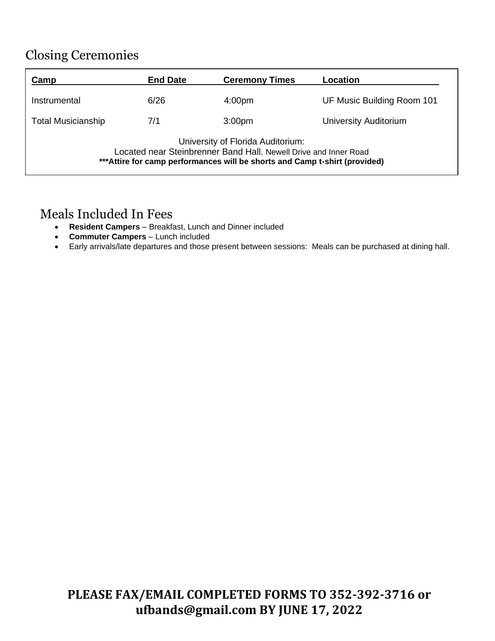## Closing Ceremonies

| Camp                                                                                                                                                                                 | <b>End Date</b> | <b>Ceremony Times</b> | Location                     |  |
|--------------------------------------------------------------------------------------------------------------------------------------------------------------------------------------|-----------------|-----------------------|------------------------------|--|
| Instrumental                                                                                                                                                                         | 6/26            | 4:00 <sub>pm</sub>    | UF Music Building Room 101   |  |
| <b>Total Musicianship</b>                                                                                                                                                            | 7/1             | 3:00 <sub>pm</sub>    | <b>University Auditorium</b> |  |
| University of Florida Auditorium:<br>Located near Steinbrenner Band Hall. Newell Drive and Inner Road<br>*** Attire for camp performances will be shorts and Camp t-shirt (provided) |                 |                       |                              |  |

### Meals Included In Fees

- **Resident Campers** Breakfast, Lunch and Dinner included
- **Commuter Campers** Lunch included
- Early arrivals/late departures and those present between sessions: Meals can be purchased at dining hall.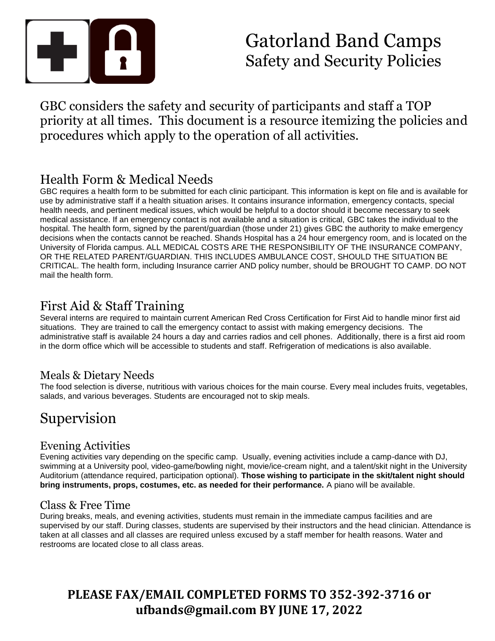

## Gatorland Band Camps Safety and Security Policies

GBC considers the safety and security of participants and staff a TOP priority at all times. This document is a resource itemizing the policies and procedures which apply to the operation of all activities.

## Health Form & Medical Needs

GBC requires a health form to be submitted for each clinic participant. This information is kept on file and is available for use by administrative staff if a health situation arises. It contains insurance information, emergency contacts, special health needs, and pertinent medical issues, which would be helpful to a doctor should it become necessary to seek medical assistance. If an emergency contact is not available and a situation is critical, GBC takes the individual to the hospital. The health form, signed by the parent/guardian (those under 21) gives GBC the authority to make emergency decisions when the contacts cannot be reached. Shands Hospital has a 24 hour emergency room, and is located on the University of Florida campus. ALL MEDICAL COSTS ARE THE RESPONSIBILITY OF THE INSURANCE COMPANY, OR THE RELATED PARENT/GUARDIAN. THIS INCLUDES AMBULANCE COST, SHOULD THE SITUATION BE CRITICAL. The health form, including Insurance carrier AND policy number, should be BROUGHT TO CAMP. DO NOT mail the health form.

## First Aid & Staff Training

Several interns are required to maintain current American Red Cross Certification for First Aid to handle minor first aid situations. They are trained to call the emergency contact to assist with making emergency decisions. The administrative staff is available 24 hours a day and carries radios and cell phones. Additionally, there is a first aid room in the dorm office which will be accessible to students and staff. Refrigeration of medications is also available.

### Meals & Dietary Needs

The food selection is diverse, nutritious with various choices for the main course. Every meal includes fruits, vegetables, salads, and various beverages. Students are encouraged not to skip meals.

## Supervision

### Evening Activities

Evening activities vary depending on the specific camp. Usually, evening activities include a camp-dance with DJ, swimming at a University pool, video-game/bowling night, movie/ice-cream night, and a talent/skit night in the University Auditorium (attendance required, participation optional). **Those wishing to participate in the skit/talent night should bring instruments, props, costumes, etc. as needed for their performance.** A piano will be available.

### Class & Free Time

During breaks, meals, and evening activities, students must remain in the immediate campus facilities and are supervised by our staff. During classes, students are supervised by their instructors and the head clinician. Attendance is taken at all classes and all classes are required unless excused by a staff member for health reasons. Water and restrooms are located close to all class areas.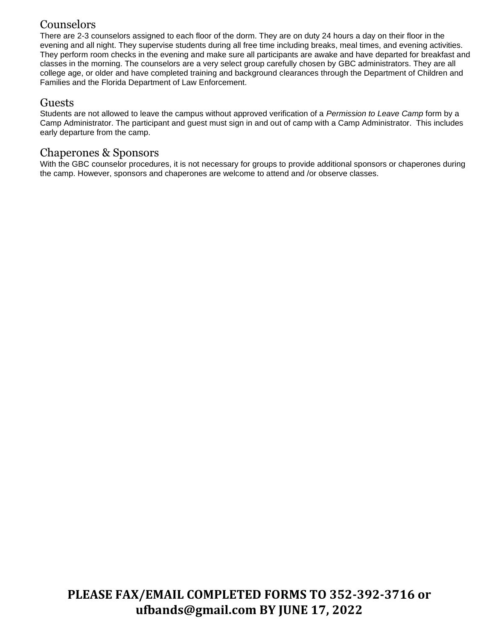### **Counselors**

There are 2-3 counselors assigned to each floor of the dorm. They are on duty 24 hours a day on their floor in the evening and all night. They supervise students during all free time including breaks, meal times, and evening activities. They perform room checks in the evening and make sure all participants are awake and have departed for breakfast and classes in the morning. The counselors are a very select group carefully chosen by GBC administrators. They are all college age, or older and have completed training and background clearances through the Department of Children and Families and the Florida Department of Law Enforcement.

### Guests

Students are not allowed to leave the campus without approved verification of a *Permission to Leave Camp* form by a Camp Administrator. The participant and guest must sign in and out of camp with a Camp Administrator. This includes early departure from the camp.

### Chaperones & Sponsors

With the GBC counselor procedures, it is not necessary for groups to provide additional sponsors or chaperones during the camp. However, sponsors and chaperones are welcome to attend and /or observe classes.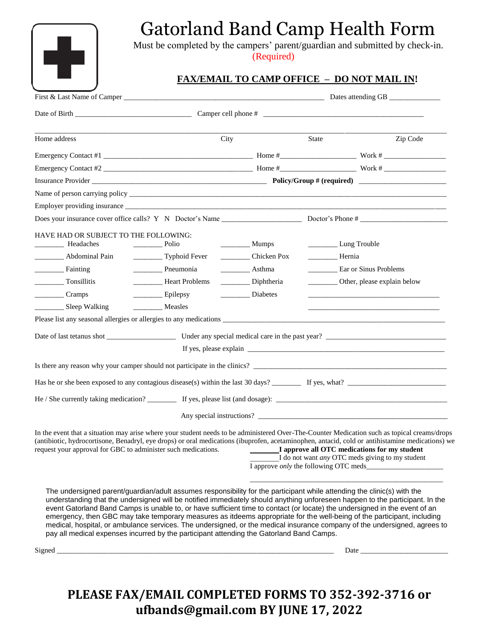

## Gatorland Band Camp Health Form

Must be completed by the campers' parent/guardian and submitted by check-in. Must be completed by the campers' parent (Required)

### **FAX/EMAIL TO CAMP OFFICE – DO NOT MAIL IN!**

| Home address                                                                                                                                                                                                                                                                                                                                                                                                                                                                                                                                                                                                                                  | City                                        |                     | State                                              | Zip Code                                        |
|-----------------------------------------------------------------------------------------------------------------------------------------------------------------------------------------------------------------------------------------------------------------------------------------------------------------------------------------------------------------------------------------------------------------------------------------------------------------------------------------------------------------------------------------------------------------------------------------------------------------------------------------------|---------------------------------------------|---------------------|----------------------------------------------------|-------------------------------------------------|
|                                                                                                                                                                                                                                                                                                                                                                                                                                                                                                                                                                                                                                               |                                             |                     |                                                    |                                                 |
| Emergency Contact #2                                                                                                                                                                                                                                                                                                                                                                                                                                                                                                                                                                                                                          |                                             |                     |                                                    |                                                 |
|                                                                                                                                                                                                                                                                                                                                                                                                                                                                                                                                                                                                                                               |                                             |                     |                                                    |                                                 |
|                                                                                                                                                                                                                                                                                                                                                                                                                                                                                                                                                                                                                                               |                                             |                     |                                                    |                                                 |
|                                                                                                                                                                                                                                                                                                                                                                                                                                                                                                                                                                                                                                               |                                             |                     |                                                    |                                                 |
|                                                                                                                                                                                                                                                                                                                                                                                                                                                                                                                                                                                                                                               |                                             |                     |                                                    |                                                 |
| HAVE HAD OR SUBJECT TO THE FOLLOWING:<br>Headaches<br>Abdominal Pain                                                                                                                                                                                                                                                                                                                                                                                                                                                                                                                                                                          | $\rule{1em}{0.15mm}$ Polio<br>Typhoid Fever | $\frac{1}{2}$ Mumps | Lung Trouble<br>Hernia                             |                                                 |
| Fainting                                                                                                                                                                                                                                                                                                                                                                                                                                                                                                                                                                                                                                      | Pneumonia                                   | ___________ Asthma  |                                                    | Ear or Sinus Problems                           |
| Tonsillitis                                                                                                                                                                                                                                                                                                                                                                                                                                                                                                                                                                                                                                   | Heart Problems                              | Diphtheria          |                                                    | __________ Other, please explain below          |
| $\frac{1}{\sqrt{2}}$ Cramps                                                                                                                                                                                                                                                                                                                                                                                                                                                                                                                                                                                                                   | Epilepsy                                    | Diabetes            |                                                    |                                                 |
| __________ Sleep Walking                                                                                                                                                                                                                                                                                                                                                                                                                                                                                                                                                                                                                      |                                             |                     |                                                    |                                                 |
|                                                                                                                                                                                                                                                                                                                                                                                                                                                                                                                                                                                                                                               |                                             |                     |                                                    |                                                 |
|                                                                                                                                                                                                                                                                                                                                                                                                                                                                                                                                                                                                                                               |                                             |                     |                                                    |                                                 |
|                                                                                                                                                                                                                                                                                                                                                                                                                                                                                                                                                                                                                                               |                                             |                     |                                                    |                                                 |
| Is there any reason why your camper should not participate in the clinics?                                                                                                                                                                                                                                                                                                                                                                                                                                                                                                                                                                    |                                             |                     |                                                    |                                                 |
|                                                                                                                                                                                                                                                                                                                                                                                                                                                                                                                                                                                                                                               |                                             |                     |                                                    |                                                 |
|                                                                                                                                                                                                                                                                                                                                                                                                                                                                                                                                                                                                                                               |                                             |                     |                                                    |                                                 |
|                                                                                                                                                                                                                                                                                                                                                                                                                                                                                                                                                                                                                                               |                                             |                     |                                                    |                                                 |
|                                                                                                                                                                                                                                                                                                                                                                                                                                                                                                                                                                                                                                               |                                             |                     |                                                    | Any special instructions?                       |
| In the event that a situation may arise where your student needs to be administered Over-The-Counter Medication such as topical creams/drops<br>(antibiotic, hydrocortisone, Benadryl, eye drops) or oral medications (ibuprofen, acetaminophen, antacid, cold or antihistamine medications) we<br>request your approval for GBC to administer such medications. <b>If approve all OTC medications for my student</b>                                                                                                                                                                                                                         |                                             |                     | I approve <i>only</i> the following OTC meds______ | I do not want any OTC meds giving to my student |
| The undersigned parent/guardian/adult assumes responsibility for the participant while attending the clinic(s) with the<br>understanding that the undersigned will be notified immediately should anything unforeseen happen to the participant. In the<br>event Gatorland Band Camps is unable to, or have sufficient time to contact (or locate) the undersigned in the event of an<br>emergency, then GBC may take temporary measures as itdeems appropriate for the well-being of the participant, including<br>medical, hospital, or ambulance services. The undersigned, or the medical insurance company of the undersigned, agrees to |                                             |                     |                                                    |                                                 |

Signed \_\_\_\_\_\_\_\_\_\_\_\_\_\_\_\_\_\_\_\_\_\_\_\_\_\_\_\_\_\_\_\_\_\_\_\_\_\_\_\_\_\_\_\_\_\_\_\_\_\_\_\_\_\_\_\_\_\_\_\_\_\_\_\_\_\_\_\_\_\_\_\_\_\_\_\_ Date \_\_\_\_\_\_\_\_\_\_\_\_\_\_\_\_\_\_\_\_\_\_\_\_

## **PLEASE FAX/EMAIL COMPLETED FORMS TO 352-392-3716 or ufbands@gmail.com BY JUNE 17, 2022**

pay all medical expenses incurred by the participant attending the Gatorland Band Camps.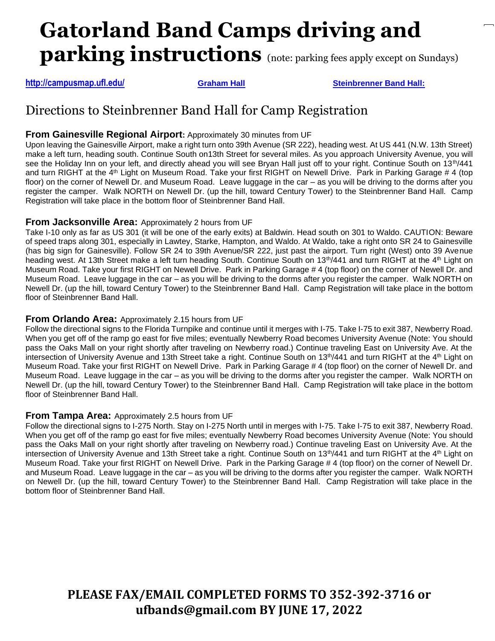# **Gatorland Band Camps driving and parking instructions** (note: parking fees apply except on Sundays)

**<http://campusmap.ufl.edu/> [Graham Hall](http://campusmap.ufl.edu/) [Steinbrenner Band Hall:](http://campusmap.ufl.edu/)** 

### Directions to Steinbrenner Band Hall for Camp Registration

### **From Gainesville Regional Airport:** Approximately 30 minutes from UF

Upon leaving the Gainesville Airport, make a right turn onto 39th Avenue (SR 222), heading west. At US 441 (N.W. 13th Street) make a left turn, heading south. Continue South on13th Street for several miles. As you approach University Avenue, you will see the Holiday Inn on your left, and directly ahead you will see Bryan Hall just off to your right. Continue South on 13<sup>th</sup>/441 and turn RIGHT at the  $4<sup>th</sup>$  Light on Museum Road. Take your first RIGHT on Newell Drive. Park in Parking Garage # 4 (top floor) on the corner of Newell Dr. and Museum Road. Leave luggage in the car - as you will be driving to the dorms after you register the camper. Walk NORTH on Newell Dr. (up the hill, toward Century Tower) to the Steinbrenner Band Hall. Camp Registration will take place in the bottom floor of Steinbrenner Band Hall.

### **From Jacksonville Area:** Approximately 2 hours from UF

Take I-10 only as far as US 301 (it will be one of the early exits) at Baldwin. Head south on 301 to Waldo. CAUTION: Beware of speed traps along 301, especially in Lawtey, Starke, Hampton, and Waldo. At Waldo, take a right onto SR 24 to Gainesville (has big sign for Gainesville). Follow SR 24 to 39th Avenue/SR 222, just past the airport. Turn right (West) onto 39 Avenue heading west. At 13th Street make a left turn heading South. Continue South on 13<sup>th</sup>/441 and turn RIGHT at the 4<sup>th</sup> Light on Museum Road. Take your first RIGHT on Newell Drive. Park in Parking Garage # 4 (top floor) on the corner of Newell Dr. and Museum Road. Leave luggage in the car – as you will be driving to the dorms after you register the camper. Walk NORTH on Newell Dr. (up the hill, toward Century Tower) to the Steinbrenner Band Hall. Camp Registration will take place in the bottom floor of Steinbrenner Band Hall.

### **From Orlando Area:** Approximately 2.15 hours from UF

Follow the directional signs to the Florida Turnpike and continue until it merges with I-75. Take I-75 to exit 387, Newberry Road. When you get off of the ramp go east for five miles; eventually Newberry Road becomes University Avenue (Note: You should pass the Oaks Mall on your right shortly after traveling on Newberry road.) Continue traveling East on University Ave. At the intersection of University Avenue and 13th Street take a right. Continue South on 13<sup>th</sup>/441 and turn RIGHT at the 4<sup>th</sup> Light on Museum Road. Take your first RIGHT on Newell Drive. Park in Parking Garage # 4 (top floor) on the corner of Newell Dr. and Museum Road. Leave luggage in the car – as you will be driving to the dorms after you register the camper. Walk NORTH on Newell Dr. (up the hill, toward Century Tower) to the Steinbrenner Band Hall. Camp Registration will take place in the bottom floor of Steinbrenner Band Hall.

### **From Tampa Area:** Approximately 2.5 hours from UF

Follow the directional signs to I-275 North. Stay on I-275 North until in merges with I-75. Take I-75 to exit 387, Newberry Road. When you get off of the ramp go east for five miles; eventually Newberry Road becomes University Avenue (Note: You should pass the Oaks Mall on your right shortly after traveling on Newberry road.) Continue traveling East on University Ave. At the intersection of University Avenue and 13th Street take a right. Continue South on 13<sup>th</sup>/441 and turn RIGHT at the 4<sup>th</sup> Light on Museum Road. Take your first RIGHT on Newell Drive. Park in the Parking Garage # 4 (top floor) on the corner of Newell Dr. and Museum Road. Leave luggage in the car – as you will be driving to the dorms after you register the camper. Walk NORTH on Newell Dr. (up the hill, toward Century Tower) to the Steinbrenner Band Hall. Camp Registration will take place in the bottom floor of Steinbrenner Band Hall.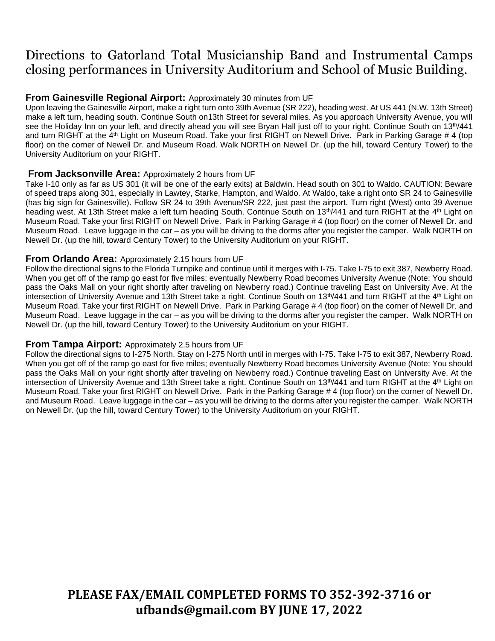## Directions to Gatorland Total Musicianship Band and Instrumental Camps closing performances in University Auditorium and School of Music Building.

### **From Gainesville Regional Airport:** Approximately 30 minutes from UF

Upon leaving the Gainesville Airport, make a right turn onto 39th Avenue (SR 222), heading west. At US 441 (N.W. 13th Street) make a left turn, heading south. Continue South on13th Street for several miles. As you approach University Avenue, you will see the Holiday Inn on your left, and directly ahead you will see Bryan Hall just off to your right. Continue South on 13<sup>th</sup>/441 and turn RIGHT at the 4<sup>th</sup> Light on Museum Road. Take your first RIGHT on Newell Drive. Park in Parking Garage # 4 (top floor) on the corner of Newell Dr. and Museum Road. Walk NORTH on Newell Dr. (up the hill, toward Century Tower) to the University Auditorium on your RIGHT.

#### **From Jacksonville Area:** Approximately 2 hours from UF

Take I-10 only as far as US 301 (it will be one of the early exits) at Baldwin. Head south on 301 to Waldo. CAUTION: Beware of speed traps along 301, especially in Lawtey, Starke, Hampton, and Waldo. At Waldo, take a right onto SR 24 to Gainesville (has big sign for Gainesville). Follow SR 24 to 39th Avenue/SR 222, just past the airport. Turn right (West) onto 39 Avenue heading west. At 13th Street make a left turn heading South. Continue South on 13<sup>th</sup>/441 and turn RIGHT at the 4<sup>th</sup> Light on Museum Road. Take your first RIGHT on Newell Drive. Park in Parking Garage # 4 (top floor) on the corner of Newell Dr. and Museum Road. Leave luggage in the car – as you will be driving to the dorms after you register the camper. Walk NORTH on Newell Dr. (up the hill, toward Century Tower) to the University Auditorium on your RIGHT.

#### **From Orlando Area:** Approximately 2.15 hours from UF

Follow the directional signs to the Florida Turnpike and continue until it merges with I-75. Take I-75 to exit 387, Newberry Road. When you get off of the ramp go east for five miles; eventually Newberry Road becomes University Avenue (Note: You should pass the Oaks Mall on your right shortly after traveling on Newberry road.) Continue traveling East on University Ave. At the intersection of University Avenue and 13th Street take a right. Continue South on 13<sup>th</sup>/441 and turn RIGHT at the 4<sup>th</sup> Light on Museum Road. Take your first RIGHT on Newell Drive. Park in Parking Garage # 4 (top floor) on the corner of Newell Dr. and Museum Road. Leave luggage in the car – as you will be driving to the dorms after you register the camper. Walk NORTH on Newell Dr. (up the hill, toward Century Tower) to the University Auditorium on your RIGHT.

#### **From Tampa Airport:** Approximately 2.5 hours from UF

Follow the directional signs to I-275 North. Stay on I-275 North until in merges with I-75. Take I-75 to exit 387, Newberry Road. When you get off of the ramp go east for five miles; eventually Newberry Road becomes University Avenue (Note: You should pass the Oaks Mall on your right shortly after traveling on Newberry road.) Continue traveling East on University Ave. At the intersection of University Avenue and 13th Street take a right. Continue South on 13<sup>th</sup>/441 and turn RIGHT at the 4<sup>th</sup> Light on Museum Road. Take your first RIGHT on Newell Drive. Park in the Parking Garage # 4 (top floor) on the corner of Newell Dr. and Museum Road. Leave luggage in the car – as you will be driving to the dorms after you register the camper. Walk NORTH on Newell Dr. (up the hill, toward Century Tower) to the University Auditorium on your RIGHT.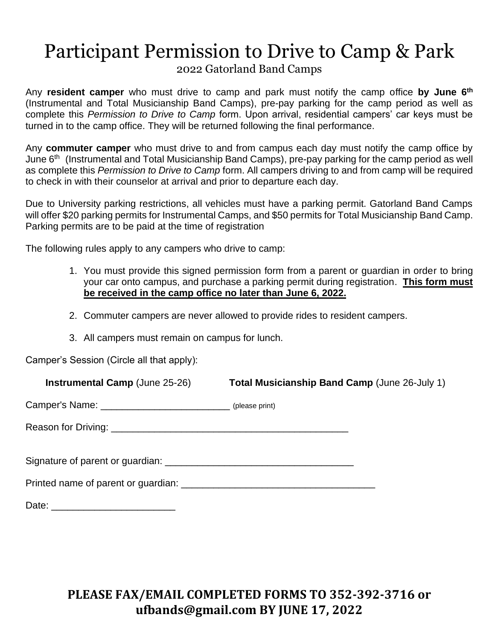# Participant Permission to Drive to Camp & Park

2022 Gatorland Band Camps

Any **resident camper** who must drive to camp and park must notify the camp office **by June 6th** (Instrumental and Total Musicianship Band Camps), pre-pay parking for the camp period as well as complete this *Permission to Drive to Camp* form. Upon arrival, residential campers' car keys must be turned in to the camp office. They will be returned following the final performance.

Any **commuter camper** who must drive to and from campus each day must notify the camp office by June 6th (Instrumental and Total Musicianship Band Camps), pre-pay parking for the camp period as well as complete this *Permission to Drive to Camp* form. All campers driving to and from camp will be required to check in with their counselor at arrival and prior to departure each day.

Due to University parking restrictions, all vehicles must have a parking permit. Gatorland Band Camps will offer \$20 parking permits for Instrumental Camps, and \$50 permits for Total Musicianship Band Camp. Parking permits are to be paid at the time of registration

The following rules apply to any campers who drive to camp:

- 1. You must provide this signed permission form from a parent or guardian in order to bring your car onto campus, and purchase a parking permit during registration. **This form must be received in the camp office no later than June 6, 2022.**
- 2. Commuter campers are never allowed to provide rides to resident campers.
- 3. All campers must remain on campus for lunch.

Camper's Session (Circle all that apply):

 **Instrumental Camp** (June 25-26) **Total Musicianship Band Camp** (June 26-July 1) Camper's Name: \_\_\_\_\_\_\_\_\_\_\_\_\_\_\_\_\_\_\_\_\_\_\_\_\_\_\_\_\_\_\_\_(please print) Reason for Driving: \_\_\_\_\_\_\_\_\_\_\_\_\_\_\_\_\_\_\_\_\_\_\_\_\_\_\_\_\_\_\_\_\_\_\_\_\_\_\_\_\_\_\_\_ Signature of parent or guardian: \_\_\_\_\_\_\_\_\_\_\_\_\_\_\_\_\_\_\_\_\_\_\_\_\_\_\_\_\_\_\_\_\_\_\_ Printed name of parent or guardian: \_\_\_\_\_\_\_\_\_\_\_\_\_\_\_\_\_\_\_\_\_\_\_\_\_\_\_\_\_\_\_\_\_\_\_\_ Date: \_\_\_\_\_\_\_\_\_\_\_\_\_\_\_\_\_\_\_\_\_\_\_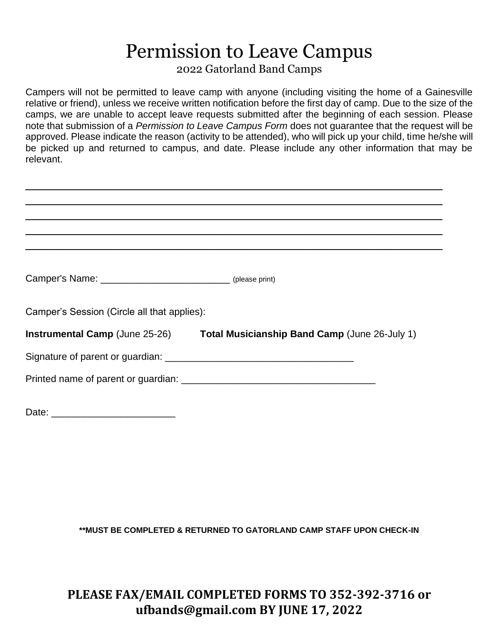# Permission to Leave Campus

2022 Gatorland Band Camps

Campers will not be permitted to leave camp with anyone (including visiting the home of a Gainesville relative or friend), unless we receive written notification before the first day of camp. Due to the size of the camps, we are unable to accept leave requests submitted after the beginning of each session. Please note that submission of a *Permission to Leave Campus Form* does not guarantee that the request will be approved. Please indicate the reason (activity to be attended), who will pick up your child, time he/she will be picked up and returned to campus, and date. Please include any other information that may be relevant.

| Camper's Name: _________________________________ (please print) |                                                                              |  |
|-----------------------------------------------------------------|------------------------------------------------------------------------------|--|
|                                                                 |                                                                              |  |
| Camper's Session (Circle all that applies):                     |                                                                              |  |
|                                                                 | Instrumental Camp (June 25-26) Total Musicianship Band Camp (June 26-July 1) |  |
|                                                                 |                                                                              |  |
|                                                                 |                                                                              |  |
|                                                                 |                                                                              |  |
|                                                                 |                                                                              |  |

Date: \_\_\_\_\_\_\_\_\_\_\_\_\_\_\_\_\_\_\_\_\_\_\_

**\*\*MUST BE COMPLETED & RETURNED TO GATORLAND CAMP STAFF UPON CHECK-IN**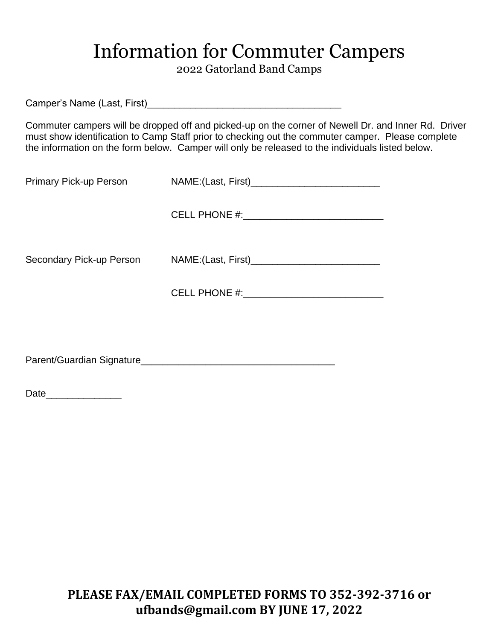## Information for Commuter Campers

2022 Gatorland Band Camps

Camper's Name (Last, First)\_\_\_\_\_\_\_\_\_\_\_\_\_\_\_\_\_\_\_\_\_\_\_\_\_\_\_\_\_\_\_\_\_\_\_\_

Commuter campers will be dropped off and picked-up on the corner of Newell Dr. and Inner Rd. Driver must show identification to Camp Staff prior to checking out the commuter camper. Please complete the information on the form below. Camper will only be released to the individuals listed below.

| Primary Pick-up Person |                                             |
|------------------------|---------------------------------------------|
|                        |                                             |
|                        | Secondary Pick-up Person NAME:(Last, First) |
|                        |                                             |
|                        |                                             |

Parent/Guardian Signature\_\_\_\_\_\_\_\_\_\_\_\_\_\_\_\_\_\_\_\_\_\_\_\_\_\_\_\_\_\_\_\_\_\_\_\_

Date\_\_\_\_\_\_\_\_\_\_\_\_\_\_